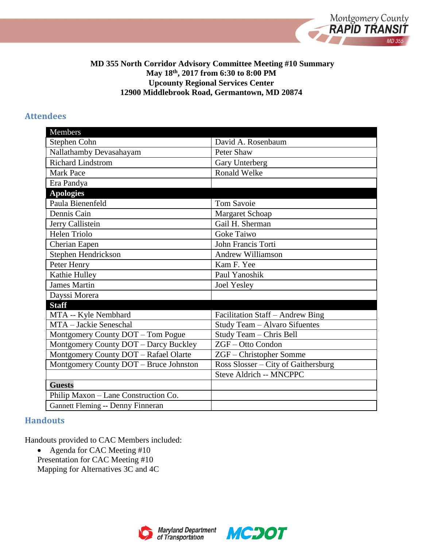

#### **MD 355 North Corridor Advisory Committee Meeting #10 Summary May 18th, 2017 from 6:30 to 8:00 PM Upcounty Regional Services Center 12900 Middlebrook Road, Germantown, MD 20874**

#### **Attendees**

| Members                                |                                     |
|----------------------------------------|-------------------------------------|
| Stephen Cohn                           | David A. Rosenbaum                  |
| Nallathamby Devasahayam                | Peter Shaw                          |
| <b>Richard Lindstrom</b>               | Gary Unterberg                      |
| <b>Mark Pace</b>                       | <b>Ronald Welke</b>                 |
| Era Pandya                             |                                     |
| <b>Apologies</b>                       |                                     |
| Paula Bienenfeld                       | <b>Tom Savoie</b>                   |
| Dennis Cain                            | Margaret Schoap                     |
| Jerry Callistein                       | Gail H. Sherman                     |
| <b>Helen Triolo</b>                    | Goke Taiwo                          |
| Cherian Eapen                          | John Francis Torti                  |
| Stephen Hendrickson                    | <b>Andrew Williamson</b>            |
| Peter Henry                            | Kam F. Yee                          |
| Kathie Hulley                          | Paul Yanoshik                       |
| <b>James Martin</b>                    | <b>Joel Yesley</b>                  |
| Dayssi Morera                          |                                     |
| <b>Staff</b>                           |                                     |
| MTA -- Kyle Nembhard                   | Facilitation Staff - Andrew Bing    |
| MTA - Jackie Seneschal                 | Study Team - Alvaro Sifuentes       |
| Montgomery County DOT - Tom Pogue      | Study Team - Chris Bell             |
| Montgomery County DOT - Darcy Buckley  | ZGF-Otto Condon                     |
| Montgomery County DOT - Rafael Olarte  | ZGF - Christopher Somme             |
| Montgomery County DOT - Bruce Johnston | Ross Slosser - City of Gaithersburg |
|                                        | Steve Aldrich -- MNCPPC             |
| <b>Guests</b>                          |                                     |
| Philip Maxon - Lane Construction Co.   |                                     |
| Gannett Fleming -- Denny Finneran      |                                     |

## **Handouts**

Handouts provided to CAC Members included:

• Agenda for CAC Meeting #10 Presentation for CAC Meeting #10 Mapping for Alternatives 3C and 4C



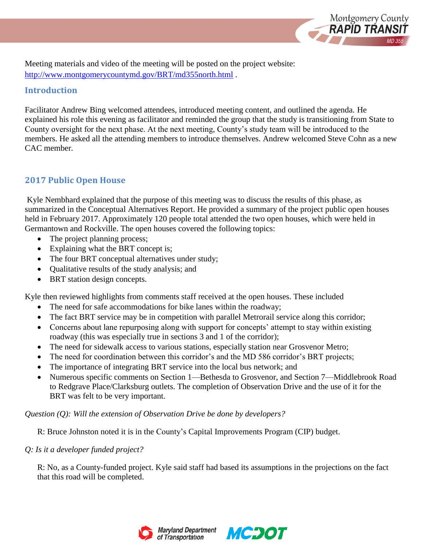

Meeting materials and video of the meeting will be posted on the project website: <http://www.montgomerycountymd.gov/BRT/md355north.html> *.*

## **Introduction**

Facilitator Andrew Bing welcomed attendees, introduced meeting content, and outlined the agenda. He explained his role this evening as facilitator and reminded the group that the study is transitioning from State to County oversight for the next phase. At the next meeting, County's study team will be introduced to the members. He asked all the attending members to introduce themselves. Andrew welcomed Steve Cohn as a new CAC member.

# **2017 Public Open House**

Kyle Nembhard explained that the purpose of this meeting was to discuss the results of this phase, as summarized in the Conceptual Alternatives Report. He provided a summary of the project public open houses held in February 2017. Approximately 120 people total attended the two open houses, which were held in Germantown and Rockville. The open houses covered the following topics:

- The project planning process;
- Explaining what the BRT concept is;
- The four BRT conceptual alternatives under study;
- Qualitative results of the study analysis; and
- BRT station design concepts.

Kyle then reviewed highlights from comments staff received at the open houses. These included

- The need for safe accommodations for bike lanes within the roadway;
- The fact BRT service may be in competition with parallel Metrorail service along this corridor;
- Concerns about lane repurposing along with support for concepts' attempt to stay within existing roadway (this was especially true in sections 3 and 1 of the corridor);
- The need for sidewalk access to various stations, especially station near Grosvenor Metro;
- The need for coordination between this corridor's and the MD 586 corridor's BRT projects;
- The importance of integrating BRT service into the local bus network; and
- Numerous specific comments on Section 1—Bethesda to Grosvenor, and Section 7—Middlebrook Road to Redgrave Place/Clarksburg outlets. The completion of Observation Drive and the use of it for the BRT was felt to be very important.

*Question (Q): Will the extension of Observation Drive be done by developers?*

R: Bruce Johnston noted it is in the County's Capital Improvements Program (CIP) budget.

## *Q: Is it a developer funded project?*

R: No, as a County-funded project. Kyle said staff had based its assumptions in the projections on the fact that this road will be completed.



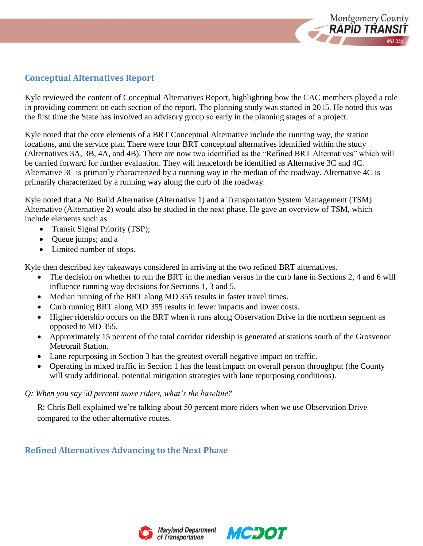

# **Conceptual Alternatives Report**

Kyle reviewed the content of Conceptual Alternatives Report, highlighting how the CAC members played a role in providing comment on each section of the report. The planning study was started in 2015. He noted this was the first time the State has involved an advisory group so early in the planning stages of a project.

Kyle noted that the core elements of a BRT Conceptual Alternative include the running way, the station locations, and the service plan There were four BRT conceptual alternatives identified within the study (Alternatives 3A, 3B, 4A, and 4B). There are now two identified as the "Refined BRT Alternatives" which will be carried forward for further evaluation. They will henceforth be identified as Alternative 3C and 4C. Alternative 3C is primarily characterized by a running way in the median of the roadway. Alternative 4C is primarily characterized by a running way along the curb of the roadway.

Kyle noted that a No Build Alternative (Alternative 1) and a Transportation System Management (TSM) Alternative (Alternative 2) would also be studied in the next phase. He gave an overview of TSM, which include elements such as

- Transit Signal Priority (TSP);
- Queue jumps; and a
- Limited number of stops.

Kyle then described key takeaways considered in arriving at the two refined BRT alternatives.

- The decision on whether to run the BRT in the median versus in the curb lane in Sections 2, 4 and 6 will influence running way decisions for Sections 1, 3 and 5.
- Median running of the BRT along MD 355 results in faster travel times.
- Curb running BRT along MD 355 results in fewer impacts and lower costs.
- Higher ridership occurs on the BRT when it runs along Observation Drive in the northern segment as opposed to MD 355.
- Approximately 15 percent of the total corridor ridership is generated at stations south of the Grosvenor Metrorail Station.
- Lane repurposing in Section 3 has the greatest overall negative impact on traffic.
- Operating in mixed traffic in Section 1 has the least impact on overall person throughput (the County will study additional, potential mitigation strategies with lane repurposing conditions).

## *Q: When you say 50 percent more riders, what's the baseline?*

R: Chris Bell explained we're talking about 50 percent more riders when we use Observation Drive compared to the other alternative routes.

# **Refined Alternatives Advancing to the Next Phase**



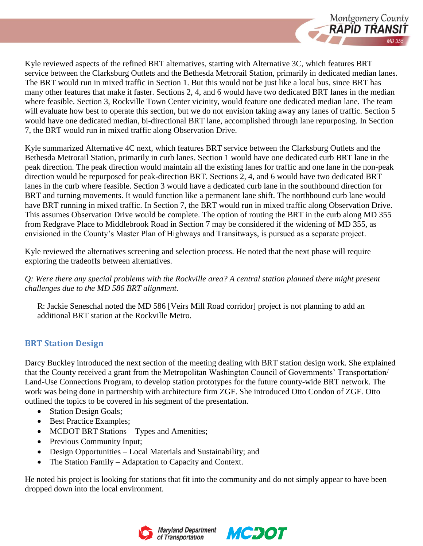

Kyle reviewed aspects of the refined BRT alternatives, starting with Alternative 3C, which features BRT service between the Clarksburg Outlets and the Bethesda Metrorail Station, primarily in dedicated median lanes. The BRT would run in mixed traffic in Section 1. But this would not be just like a local bus, since BRT has many other features that make it faster. Sections 2, 4, and 6 would have two dedicated BRT lanes in the median where feasible. Section 3, Rockville Town Center vicinity, would feature one dedicated median lane. The team will evaluate how best to operate this section, but we do not envision taking away any lanes of traffic. Section 5 would have one dedicated median, bi-directional BRT lane, accomplished through lane repurposing. In Section 7, the BRT would run in mixed traffic along Observation Drive.

Kyle summarized Alternative 4C next, which features BRT service between the Clarksburg Outlets and the Bethesda Metrorail Station, primarily in curb lanes. Section 1 would have one dedicated curb BRT lane in the peak direction. The peak direction would maintain all the existing lanes for traffic and one lane in the non-peak direction would be repurposed for peak-direction BRT. Sections 2, 4, and 6 would have two dedicated BRT lanes in the curb where feasible. Section 3 would have a dedicated curb lane in the southbound direction for BRT and turning movements. It would function like a permanent lane shift. The northbound curb lane would have BRT running in mixed traffic. In Section 7, the BRT would run in mixed traffic along Observation Drive. This assumes Observation Drive would be complete. The option of routing the BRT in the curb along MD 355 from Redgrave Place to Middlebrook Road in Section 7 may be considered if the widening of MD 355, as envisioned in the County's Master Plan of Highways and Transitways, is pursued as a separate project.

Kyle reviewed the alternatives screening and selection process. He noted that the next phase will require exploring the tradeoffs between alternatives.

*Q: Were there any special problems with the Rockville area? A central station planned there might present challenges due to the MD 586 BRT alignment.*

R: Jackie Seneschal noted the MD 586 [Veirs Mill Road corridor] project is not planning to add an additional BRT station at the Rockville Metro.

# **BRT Station Design**

Darcy Buckley introduced the next section of the meeting dealing with BRT station design work. She explained that the County received a grant from the Metropolitan Washington Council of Governments' Transportation/ Land-Use Connections Program, to develop station prototypes for the future county-wide BRT network. The work was being done in partnership with architecture firm ZGF. She introduced Otto Condon of ZGF. Otto outlined the topics to be covered in his segment of the presentation.

- Station Design Goals;
- Best Practice Examples;
- MCDOT BRT Stations Types and Amenities;
- Previous Community Input;
- Design Opportunities Local Materials and Sustainability; and
- The Station Family Adaptation to Capacity and Context.

He noted his project is looking for stations that fit into the community and do not simply appear to have been dropped down into the local environment.



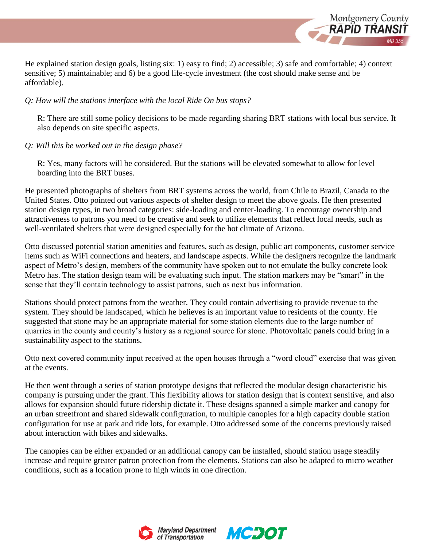

He explained station design goals, listing six: 1) easy to find; 2) accessible; 3) safe and comfortable; 4) context sensitive; 5) maintainable; and 6) be a good life-cycle investment (the cost should make sense and be affordable).

#### *Q: How will the stations interface with the local Ride On bus stops?*

R: There are still some policy decisions to be made regarding sharing BRT stations with local bus service. It also depends on site specific aspects.

#### *Q: Will this be worked out in the design phase?*

R: Yes, many factors will be considered. But the stations will be elevated somewhat to allow for level boarding into the BRT buses.

He presented photographs of shelters from BRT systems across the world, from Chile to Brazil, Canada to the United States. Otto pointed out various aspects of shelter design to meet the above goals. He then presented station design types, in two broad categories: side-loading and center-loading. To encourage ownership and attractiveness to patrons you need to be creative and seek to utilize elements that reflect local needs, such as well-ventilated shelters that were designed especially for the hot climate of Arizona.

Otto discussed potential station amenities and features, such as design, public art components, customer service items such as WiFi connections and heaters, and landscape aspects. While the designers recognize the landmark aspect of Metro's design, members of the community have spoken out to not emulate the bulky concrete look Metro has. The station design team will be evaluating such input. The station markers may be "smart" in the sense that they'll contain technology to assist patrons, such as next bus information.

Stations should protect patrons from the weather. They could contain advertising to provide revenue to the system. They should be landscaped, which he believes is an important value to residents of the county. He suggested that stone may be an appropriate material for some station elements due to the large number of quarries in the county and county's history as a regional source for stone. Photovoltaic panels could bring in a sustainability aspect to the stations.

Otto next covered community input received at the open houses through a "word cloud" exercise that was given at the events.

He then went through a series of station prototype designs that reflected the modular design characteristic his company is pursuing under the grant. This flexibility allows for station design that is context sensitive, and also allows for expansion should future ridership dictate it. These designs spanned a simple marker and canopy for an urban streetfront and shared sidewalk configuration, to multiple canopies for a high capacity double station configuration for use at park and ride lots, for example. Otto addressed some of the concerns previously raised about interaction with bikes and sidewalks.

The canopies can be either expanded or an additional canopy can be installed, should station usage steadily increase and require greater patron protection from the elements. Stations can also be adapted to micro weather conditions, such as a location prone to high winds in one direction.



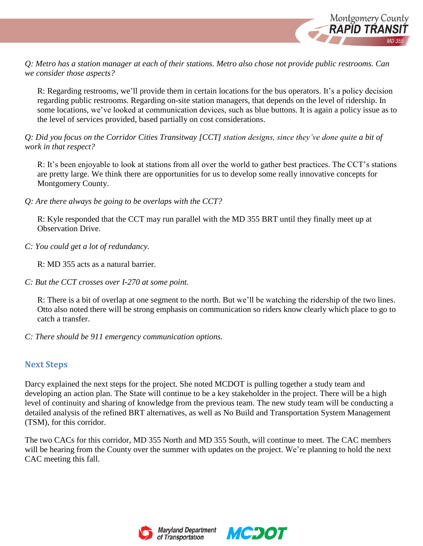

*Q: Metro has a station manager at each of their stations. Metro also chose not provide public restrooms. Can we consider those aspects?*

R: Regarding restrooms, we'll provide them in certain locations for the bus operators. It's a policy decision regarding public restrooms. Regarding on-site station managers, that depends on the level of ridership. In some locations, we've looked at communication devices, such as blue buttons. It is again a policy issue as to the level of services provided, based partially on cost considerations.

*Q: Did you focus on the Corridor Cities Transitway [CCT] station designs, since they've done quite a bit of work in that respect?*

R: It's been enjoyable to look at stations from all over the world to gather best practices. The CCT's stations are pretty large. We think there are opportunities for us to develop some really innovative concepts for Montgomery County.

*Q: Are there always be going to be overlaps with the CCT?*

R: Kyle responded that the CCT may run parallel with the MD 355 BRT until they finally meet up at Observation Drive.

*C: You could get a lot of redundancy.*

R: MD 355 acts as a natural barrier.

*C: But the CCT crosses over I-270 at some point.*

R: There is a bit of overlap at one segment to the north. But we'll be watching the ridership of the two lines. Otto also noted there will be strong emphasis on communication so riders know clearly which place to go to catch a transfer.

*C: There should be 911 emergency communication options.*

## **Next Steps**

Darcy explained the next steps for the project. She noted MCDOT is pulling together a study team and developing an action plan. The State will continue to be a key stakeholder in the project. There will be a high level of continuity and sharing of knowledge from the previous team. The new study team will be conducting a detailed analysis of the refined BRT alternatives, as well as No Build and Transportation System Management (TSM), for this corridor.

The two CACs for this corridor, MD 355 North and MD 355 South, will continue to meet. The CAC members will be hearing from the County over the summer with updates on the project. We're planning to hold the next CAC meeting this fall.